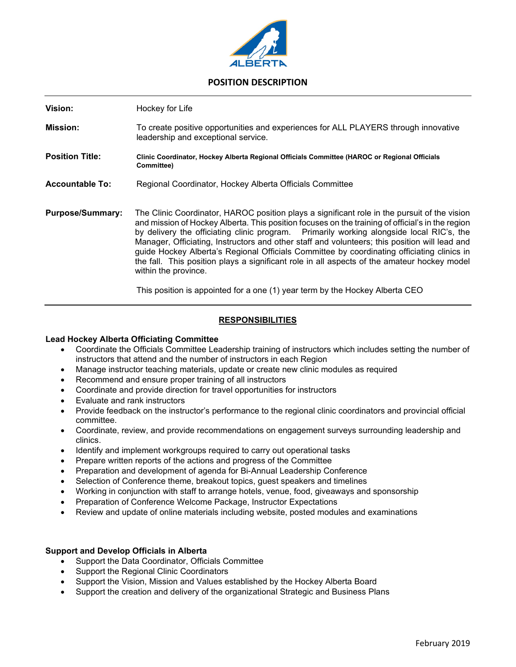

## **POSITION DESCRIPTION**

| Vision:                 | Hockey for Life                                                                                                                                                                                                                                                                                                                                                                                                                                                                                                                                                                                                    |
|-------------------------|--------------------------------------------------------------------------------------------------------------------------------------------------------------------------------------------------------------------------------------------------------------------------------------------------------------------------------------------------------------------------------------------------------------------------------------------------------------------------------------------------------------------------------------------------------------------------------------------------------------------|
| <b>Mission:</b>         | To create positive opportunities and experiences for ALL PLAYERS through innovative<br>leadership and exceptional service.                                                                                                                                                                                                                                                                                                                                                                                                                                                                                         |
| <b>Position Title:</b>  | Clinic Coordinator, Hockey Alberta Regional Officials Committee (HAROC or Regional Officials<br>Committee)                                                                                                                                                                                                                                                                                                                                                                                                                                                                                                         |
| <b>Accountable To:</b>  | Regional Coordinator, Hockey Alberta Officials Committee                                                                                                                                                                                                                                                                                                                                                                                                                                                                                                                                                           |
| <b>Purpose/Summary:</b> | The Clinic Coordinator, HAROC position plays a significant role in the pursuit of the vision<br>and mission of Hockey Alberta. This position focuses on the training of official's in the region<br>by delivery the officiating clinic program. Primarily working alongside local RIC's, the<br>Manager, Officiating, Instructors and other staff and volunteers; this position will lead and<br>guide Hockey Alberta's Regional Officials Committee by coordinating officiating clinics in<br>the fall. This position plays a significant role in all aspects of the amateur hockey model<br>within the province. |

This position is appointed for a one (1) year term by the Hockey Alberta CEO

### **RESPONSIBILITIES**

#### **Lead Hockey Alberta Officiating Committee**

- Coordinate the Officials Committee Leadership training of instructors which includes setting the number of instructors that attend and the number of instructors in each Region
- Manage instructor teaching materials, update or create new clinic modules as required
- Recommend and ensure proper training of all instructors
- Coordinate and provide direction for travel opportunities for instructors
- Evaluate and rank instructors
- Provide feedback on the instructor's performance to the regional clinic coordinators and provincial official committee.
- Coordinate, review, and provide recommendations on engagement surveys surrounding leadership and clinics.
- Identify and implement workgroups required to carry out operational tasks
- Prepare written reports of the actions and progress of the Committee
- Preparation and development of agenda for Bi-Annual Leadership Conference
- Selection of Conference theme, breakout topics, guest speakers and timelines
- Working in conjunction with staff to arrange hotels, venue, food, giveaways and sponsorship
- Preparation of Conference Welcome Package, Instructor Expectations
- Review and update of online materials including website, posted modules and examinations

#### **Support and Develop Officials in Alberta**

- Support the Data Coordinator, Officials Committee
- Support the Regional Clinic Coordinators
- Support the Vision, Mission and Values established by the Hockey Alberta Board
- Support the creation and delivery of the organizational Strategic and Business Plans